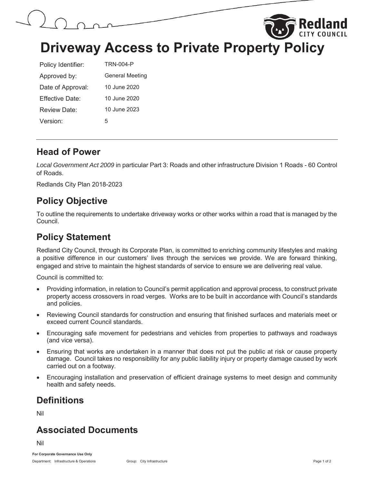

**Driveway Access to Private Property Policy** 

| Policy Identifier:                | TRN-004-P              |  |
|-----------------------------------|------------------------|--|
| Approved by:                      | <b>General Meeting</b> |  |
| 10 June 2020<br>Date of Approval: |                        |  |
| Fffective Date:                   | 10 June 2020           |  |
| Review Date:                      | 10 June 2023           |  |
| Version:                          | 5                      |  |

#### **Head of Power**

*Local Government Act 2009* in particular Part 3: Roads and other infrastructure Division 1 Roads - 60 Control of Roads.

Redlands City Plan 2018-2023

# **Policy Objective**

To outline the requirements to undertake driveway works or other works within a road that is managed by the Council.

#### **Policy Statement**

Redland City Council, through its Corporate Plan, is committed to enriching community lifestyles and making a positive difference in our customers' lives through the services we provide. We are forward thinking, engaged and strive to maintain the highest standards of service to ensure we are delivering real value.

Council is committed to:

- Providing information, in relation to Council's permit application and approval process, to construct private property access crossovers in road verges. Works are to be built in accordance with Council's standards and policies.
- x Reviewing Council standards for construction and ensuring that finished surfaces and materials meet or exceed current Council standards.
- Encouraging safe movement for pedestrians and vehicles from properties to pathways and roadways (and vice versa).
- Ensuring that works are undertaken in a manner that does not put the public at risk or cause property damage. Council takes no responsibility for any public liability injury or property damage caused by work carried out on a footway.
- Encouraging installation and preservation of efficient drainage systems to meet design and community health and safety needs.

# **Definitions**

Nil

### **Associated Documents**

Nil